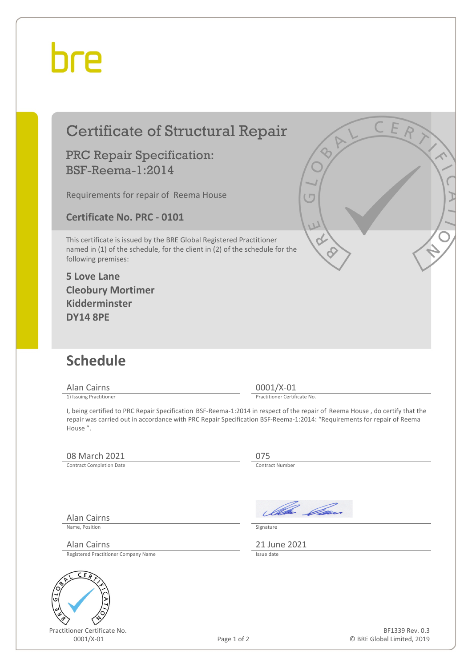## bre

| <b>Certificate of Structural Repair</b>                                                                                                                                    |                                                                                                                                                              |
|----------------------------------------------------------------------------------------------------------------------------------------------------------------------------|--------------------------------------------------------------------------------------------------------------------------------------------------------------|
| <b>PRC Repair Specification:</b><br><b>BSF-Reema-1:2014</b>                                                                                                                |                                                                                                                                                              |
| Requirements for repair of Reema House                                                                                                                                     |                                                                                                                                                              |
| <b>Certificate No. PRC - 0101</b>                                                                                                                                          | U                                                                                                                                                            |
| This certificate is issued by the BRE Global Registered Practitioner<br>named in (1) of the schedule, for the client in (2) of the schedule for the<br>following premises: |                                                                                                                                                              |
| <b>5 Love Lane</b><br><b>Cleobury Mortimer</b><br><b>Kidderminster</b><br><b>DY14 8PE</b>                                                                                  |                                                                                                                                                              |
| <b>Schedule</b>                                                                                                                                                            |                                                                                                                                                              |
| <b>Alan Cairns</b>                                                                                                                                                         | 0001/X-01                                                                                                                                                    |
| 1) Issuing Practitioner<br>repair was carried out in accordance with PRC Repair Specification BSF-Reema-1:2014: "Requirements for repair of Reema<br>House".               | Practitioner Certificate No.<br>I, being certified to PRC Repair Specification BSF-Reema-1:2014 in respect of the repair of Reema House, do certify that the |
| 08 March 2021                                                                                                                                                              | 075                                                                                                                                                          |
| <b>Contract Completion Date</b>                                                                                                                                            | Contract Number                                                                                                                                              |
|                                                                                                                                                                            |                                                                                                                                                              |
|                                                                                                                                                                            |                                                                                                                                                              |

Alan Cairns

Name, Position Signature

Registered Practitioner Company Name



Practitioner Certificate No.

Illa Can

Alan Cairns Registered Practitioner Company Name 2021 21 June 2021